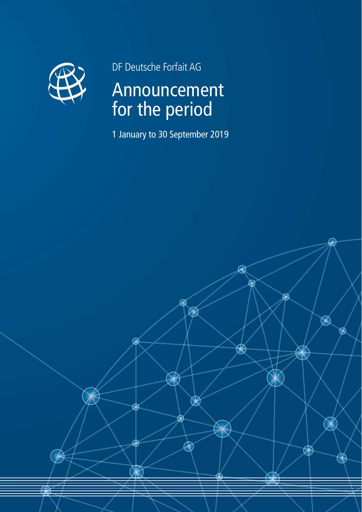

DF Deutsche Forfait AG

# Announcement for the period

1 January to 30 September 2019

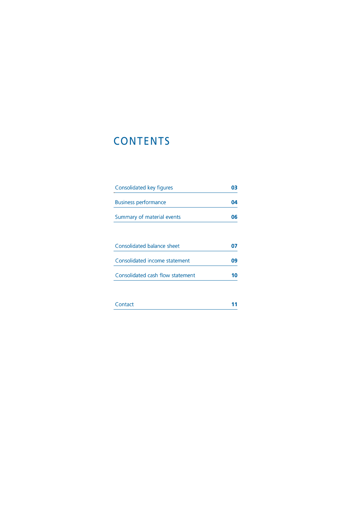# **CONTENTS**

| Consolidated key figures    |    |
|-----------------------------|----|
| <b>Business performance</b> | 04 |
| Summary of material events  | 06 |
|                             |    |

| Consolidated balance sheet       |    |
|----------------------------------|----|
| Consolidated income statement    | Nq |
| Consolidated cash flow statement |    |
|                                  |    |

| Contact |  |
|---------|--|
|         |  |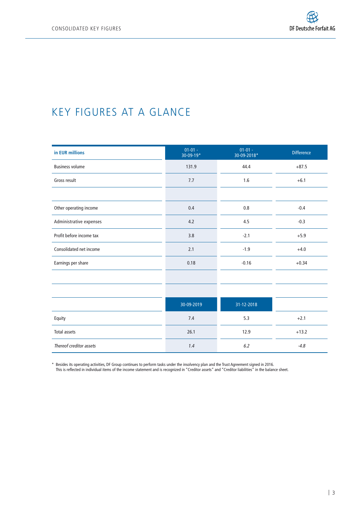## KEY FIGURES AT A GLANCE

| in EUR millions          | $01 - 01 -$<br>30-09-19* | $01 - 01 -$<br>30-09-2018* | <b>Difference</b> |
|--------------------------|--------------------------|----------------------------|-------------------|
| <b>Business volume</b>   | 131.9                    | 44.4                       | $+87.5$           |
| Gross result             | 7.7                      | 1.6                        | $+6.1$            |
|                          |                          |                            |                   |
| Other operating income   | 0.4                      | 0.8                        | $-0.4$            |
| Administrative expenses  | 4.2                      | 4.5                        | $-0.3$            |
| Profit before income tax | 3.8                      | $-2.1$                     | $+5.9$            |
| Consolidated net income  | 2.1                      | $-1.9$                     | $+4.0$            |
| Earnings per share       | 0.18                     | $-0.16$                    | $+0.34$           |
|                          |                          |                            |                   |
|                          |                          |                            |                   |
|                          | 30-09-2019               | 31-12-2018                 |                   |
| Equity                   | 7.4                      | 5.3                        | $+2.1$            |
| <b>Total assets</b>      | 26.1                     | 12.9                       | $+13.2$           |
| Thereof creditor assets  | 1.4                      | 6.2                        | $-4.8$            |

\* Besides its operating activities, DF Group continues to perform tasks under the insolvency plan and the Trust Agreement signed in 2016.

This is reflected in individual items of the income statement and is recognized in "Creditor assets" and "Creditor liabilities" in the balance sheet.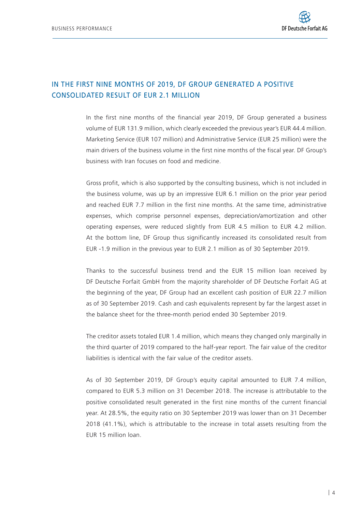### In the first nine months of 2019, DF Group generated a positive consolidated result of EUR 2.1 million

In the first nine months of the financial year 2019, DF Group generated a business volume of EUR 131.9 million, which clearly exceeded the previous year's EUR 44.4 million. Marketing Service (EUR 107 million) and Administrative Service (EUR 25 million) were the main drivers of the business volume in the first nine months of the fiscal year. DF Group's business with Iran focuses on food and medicine.

Gross profit, which is also supported by the consulting business, which is not included in the business volume, was up by an impressive EUR 6.1 million on the prior year period and reached EUR 7.7 million in the first nine months. At the same time, administrative expenses, which comprise personnel expenses, depreciation/amortization and other operating expenses, were reduced slightly from EUR 4.5 million to EUR 4.2 million. At the bottom line, DF Group thus significantly increased its consolidated result from EUR -1.9 million in the previous year to EUR 2.1 million as of 30 September 2019.

Thanks to the successful business trend and the EUR 15 million loan received by DF Deutsche Forfait GmbH from the majority shareholder of DF Deutsche Forfait AG at the beginning of the year, DF Group had an excellent cash position of EUR 22.7 million as of 30 September 2019. Cash and cash equivalents represent by far the largest asset in the balance sheet for the three-month period ended 30 September 2019.

The creditor assets totaled EUR 1.4 million, which means they changed only marginally in the third quarter of 2019 compared to the half-year report. The fair value of the creditor liabilities is identical with the fair value of the creditor assets.

As of 30 September 2019, DF Group's equity capital amounted to EUR 7.4 million, compared to EUR 5.3 million on 31 December 2018. The increase is attributable to the positive consolidated result generated in the first nine months of the current financial year. At 28.5%, the equity ratio on 30 September 2019 was lower than on 31 December 2018 (41.1%), which is attributable to the increase in total assets resulting from the EUR 15 million loan.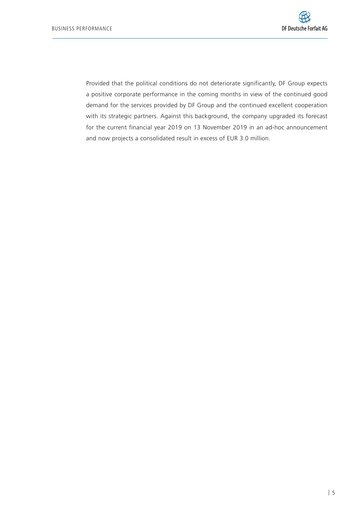Provided that the political conditions do not deteriorate significantly, DF Group expects a positive corporate performance in the coming months in view of the continued good demand for the services provided by DF Group and the continued excellent cooperation with its strategic partners. Against this background, the company upgraded its forecast for the current financial year 2019 on 13 November 2019 in an ad-hoc announcement and now projects a consolidated result in excess of EUR 3.0 million.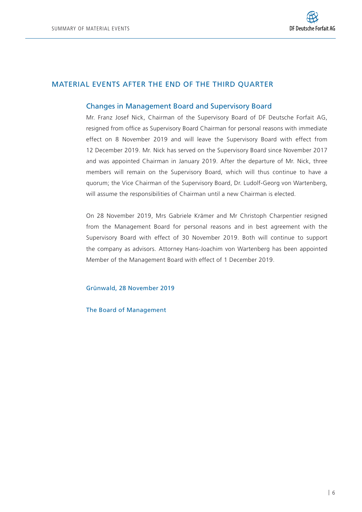

### Material events after the end of the third quarter

#### Changes in Management Board and Supervisory Board

Mr. Franz Josef Nick, Chairman of the Supervisory Board of DF Deutsche Forfait AG, resigned from office as Supervisory Board Chairman for personal reasons with immediate effect on 8 November 2019 and will leave the Supervisory Board with effect from 12 December 2019. Mr. Nick has served on the Supervisory Board since November 2017 and was appointed Chairman in January 2019. After the departure of Mr. Nick, three members will remain on the Supervisory Board, which will thus continue to have a quorum; the Vice Chairman of the Supervisory Board, Dr. Ludolf-Georg von Wartenberg, will assume the responsibilities of Chairman until a new Chairman is elected.

On 28 November 2019, Mrs Gabriele Krämer and Mr Christoph Charpentier resigned from the Management Board for personal reasons and in best agreement with the Supervisory Board with effect of 30 November 2019. Both will continue to support the company as advisors. Attorney Hans-Joachim von Wartenberg has been appointed Member of the Management Board with effect of 1 December 2019.

Grünwald, 28 November 2019

The Board of Management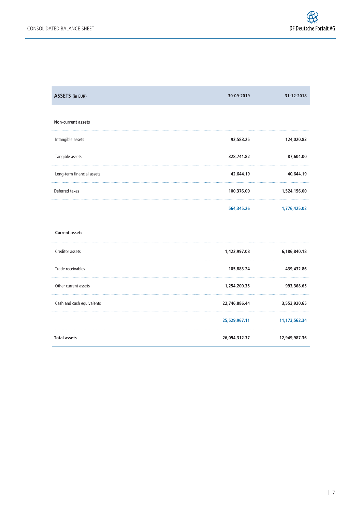| <b>ASSETS</b> (in EUR)     | 30-09-2019    | 31-12-2018    |
|----------------------------|---------------|---------------|
| Non-current assets         |               |               |
| Intangible assets          | 92,583.25     | 124,020.83    |
| Tangible assets            | 328,741.82    | 87,604.00     |
| Long-term financial assets | 42,644.19     | 40,644.19     |
| Deferred taxes             | 100,376.00    | 1,524,156.00  |
|                            | 564,345.26    | 1,776,425.02  |
| <b>Current assets</b>      |               |               |
| Creditor assets            | 1,422,997.08  | 6,186,840.18  |
| Trade receivables          | 105,883.24    | 439,432.86    |
| Other current assets       | 1,254,200.35  | 993,368.65    |
| Cash and cash equivalents  | 22,746,886.44 | 3,553,920.65  |
|                            | 25,529,967.11 | 11,173,562.34 |
| <b>Total assets</b>        | 26,094,312.37 | 12,949,987.36 |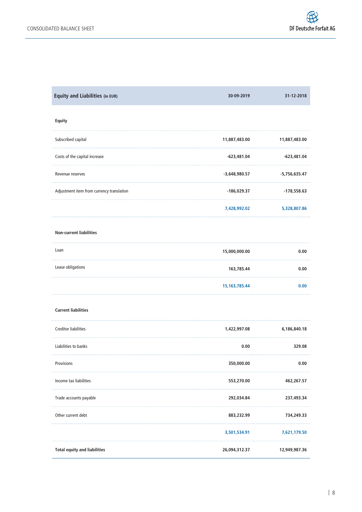| Equity and Liabilities (in EUR)           | 30-09-2019       | 31-12-2018      |
|-------------------------------------------|------------------|-----------------|
| Equity                                    |                  |                 |
| Subscribed capital                        | 11,887,483.00    | 11,887,483.00   |
| Costs of the capital increase             | -623,481.04      | -623,481.04     |
| Revenue reserves                          | $-3,648,980.57$  | $-5,756,635.47$ |
| Adjustment item from currency translation | -186,029.37      | $-178,558.63$   |
|                                           | 7,428,992.02     | 5,328,807.86    |
| <b>Non-current liabilities</b>            |                  |                 |
| Loan                                      | 15,000,000.00    | 0.00            |
| Lease obligations                         | 163,785.44       | 0.00            |
|                                           | 15, 163, 785. 44 | 0.00            |
| <b>Current liabilities</b>                |                  |                 |
| <b>Creditor liabilities</b>               | 1,422,997.08     | 6,186,840.18    |
| Liabilities to banks                      | 0.00             | 329.08          |
| Provisions                                | 350,000.00       | 0.00            |
| Income tax liabilities                    | 553,270.00       | 462,267.57      |
| Trade accounts payable                    | 292,034.84       | 237,493.34      |
| Other current debt                        | 883,232.99       | 734,249.33      |
|                                           | 3,501,534.91     | 7,621,179.50    |
| <b>Total equity and liabilities</b>       | 26,094,312.37    | 12,949,987.36   |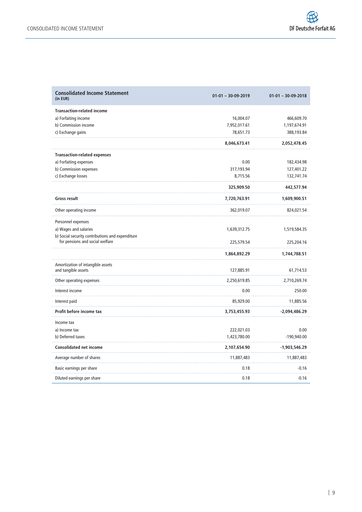| <b>Consolidated Income Statement</b><br>(in EUR)                                    | $01-01 - 30-09-2019$ | $01 - 01 - 30 - 09 - 2018$ |
|-------------------------------------------------------------------------------------|----------------------|----------------------------|
| <b>Transaction-related income</b>                                                   |                      |                            |
| a) Forfaiting income                                                                | 16,004.07            | 466,609.70                 |
| b) Commission income                                                                | 7,952,017.61         | 1,197,674.91               |
| c) Exchange gains                                                                   | 78,651.73            | 388,193.84                 |
|                                                                                     | 8,046,673.41         | 2,052,478.45               |
| <b>Transaction-related expenses</b>                                                 |                      |                            |
| a) Forfaiting expenses                                                              | 0.00                 | 182,434.98                 |
| b) Commission expenses                                                              | 317,193.94           | 127,401.22                 |
| c) Exchange losses                                                                  | 8,715.56             | 132,741.74                 |
|                                                                                     | 325,909.50           | 442,577.94                 |
| Gross result                                                                        | 7,720,763.91         | 1,609,900.51               |
| Other operating income                                                              | 362,019.07           | 824,021.54                 |
| Personnel expenses                                                                  |                      |                            |
| a) Wages and salaries                                                               | 1,639,312.75         | 1,519,584.35               |
| b) Social security contributions and expenditure<br>for pensions and social welfare | 225,579.54           | 225,204.16                 |
|                                                                                     | 1,864,892.29         | 1,744,788.51               |
| Amortization of intangible assets<br>and tangible assets                            | 127,885.91           | 61,714.53                  |
| Other operating expenses                                                            | 2,250,619.85         | 2,710,269.74               |
| Interest income                                                                     | 0.00                 | 250.00                     |
| Interest paid                                                                       | 85,929.00            | 11,885.56                  |
| Profit before income tax                                                            | 3,753,455.93         | -2,094,486.29              |
| Income tax                                                                          |                      |                            |
| a) Income tax                                                                       | 222,021.03           | 0.00                       |
| b) Deferred taxes                                                                   | 1,423,780.00         | -190,940.00                |
| <b>Consolidated net income</b>                                                      | 2,107,654.90         | -1,903,546.29              |
| Average number of shares                                                            | 11,887,483           | 11,887,483                 |
| Basic earnings per share                                                            | 0.18                 | -0.16                      |
| Diluted earnings per share                                                          | 0.18                 | $-0.16$                    |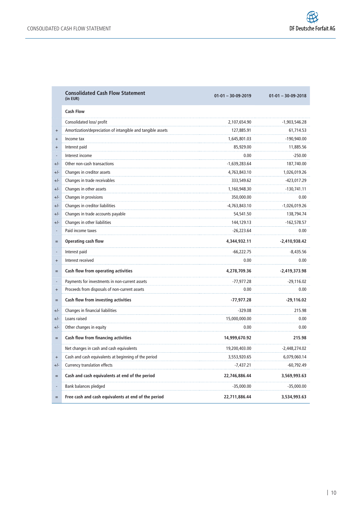|               | <b>Consolidated Cash Flow Statement</b><br>(in EUR)         | $01-01 - 30-09-2019$ | $01-01 - 30-09-2018$ |
|---------------|-------------------------------------------------------------|----------------------|----------------------|
|               | <b>Cash Flow</b>                                            |                      |                      |
|               | Consolidated loss/ profit                                   | 2,107,654.90         | -1,903,546.28        |
| $^{+}$<br>a a | Amortization/depreciation of intangible and tangible assets | 127,885.91           | 61,714.53            |
| $+$           | Income tax                                                  | 1,645,801.03         | -190,940.00          |
| $\ddot{}$     | Interest paid                                               | 85,929.00            | 11,885.56            |
| لتنب          | Interest income                                             | 0.00                 | -250.00              |
| $+/-$         | Other non-cash transactions                                 | -1,639,283.64        | 187,740.00           |
| $+/-$         | Changes in creditor assets                                  | 4,763,843.10         | 1,026,019.26         |
| $+/-$         | Changes in trade receivables                                | 333,549.62           | -423,017.29          |
| $+/-$         | Changes in other assets                                     | 1,160,948.30         | -130,741.11          |
| $+/-$         | Changes in provisions                                       | 350,000.00           | 0.00                 |
| $+/-$         | Changes in creditor liabilities                             | -4,763,843.10        | -1,026,019.26        |
| $+/-$         | Changes in trade accounts payable                           | 54,541.50            | 138,794.74           |
| $+/-$         | Changes in other liabilities                                | 144,129.13           | $-162,578.57$        |
|               | Paid income taxes                                           | $-26,223.64$         | 0.00                 |
| $=$           | <b>Operating cash flow</b>                                  | 4,344,932.11         | $-2,410,938.42$      |
|               | Interest paid                                               | -66,222.75           | -8,435.56            |
| $^{+}$        | Interest received                                           | 0.00                 | 0.00                 |
| $=$           | Cash flow from operating activities                         | 4,278,709.36         | -2,419,373.98        |
|               | Payments for investments in non-current assets              | $-77,977.28$         | $-29,116.02$         |
| $^{+}$<br>a a | Proceeds from disposals of non-current assets               | 0.00                 | 0.00                 |
| $=$           | Cash flow from investing activities                         | $-77,977.28$         | $-29,116.02$         |
| +/-           | Changes in financial liabilities                            | $-329.08$            | 215.98               |
| $+/-$         | Loans raised                                                | 15,000,000.00        | 0.00                 |
| +/-           | Other changes in equity                                     | 0.00                 | 0.00                 |
| $=$           | Cash flow from financing activities                         | 14,999,670.92        | 215.98               |
|               | Net changes in cash and cash equivalents                    | 19,200,403.00        | $-2,448,274.02$      |
| $^{+}$        | Cash and cash equivalents at beginning of the period        | 3,553,920.65         | 6,079,060.14         |
| $+/-$         | Currency translation effects                                | $-7,437.21$          | -60,792.49           |
| $=$           | Cash and cash equivalents at end of the period              | 22,746,886.44        | 3,569,993.63         |
|               | Bank balances pledged                                       | $-35,000.00$         | $-35,000.00$         |
| $=$           | Free cash and cash equivalents at end of the period         | 22,711,886.44        | 3,534,993.63         |